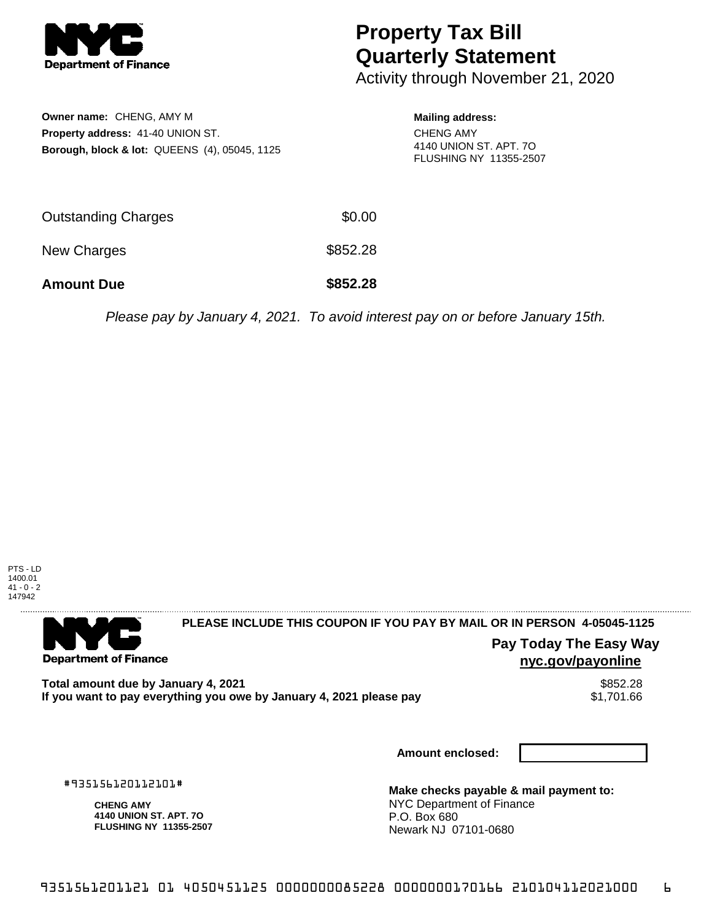

## **Property Tax Bill Quarterly Statement**

Activity through November 21, 2020

| Owner name: CHENG, AMY M<br>Property address: 41-40 UNION ST.<br><b>Borough, block &amp; lot: QUEENS (4), 05045, 1125</b> |          | <b>Mailing address:</b><br><b>CHENG AMY</b><br>4140 UNION ST. APT. 7O<br>FLUSHING NY 11355-2507 |
|---------------------------------------------------------------------------------------------------------------------------|----------|-------------------------------------------------------------------------------------------------|
| <b>Outstanding Charges</b>                                                                                                | \$0.00   |                                                                                                 |
| <b>New Charges</b>                                                                                                        | \$852.28 |                                                                                                 |

**Amount Due \$852.28**

Please pay by January 4, 2021. To avoid interest pay on or before January 15th.



. . . . . . . . . . . . . . . . . .

**Department of Finance** 

**PLEASE INCLUDE THIS COUPON IF YOU PAY BY MAIL OR IN PERSON 4-05045-1125** 

**Pay Today The Easy Way nyc.gov/payonline**

Total amount due by January 4, 2021<br>If you want to pay everything you owe by January 4, 2021 please pay **ship in the set of the set of the s**1,701.66 If you want to pay everything you owe by January 4, 2021 please pay

**Amount enclosed:**

#935156120112101#

**CHENG AMY 4140 UNION ST. APT. 7O FLUSHING NY 11355-2507**

**Make checks payable & mail payment to:** NYC Department of Finance P.O. Box 680 Newark NJ 07101-0680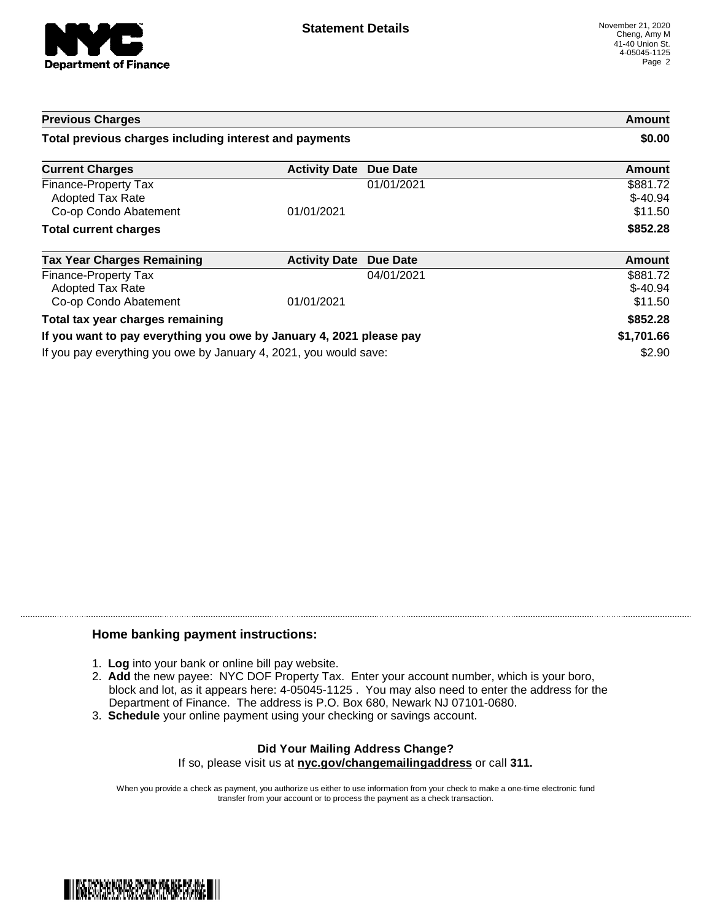

| <b>Previous Charges</b>                                             |                      |            | Amount                           |
|---------------------------------------------------------------------|----------------------|------------|----------------------------------|
| Total previous charges including interest and payments              |                      |            | \$0.00                           |
| <b>Current Charges</b>                                              | <b>Activity Date</b> | Due Date   | <b>Amount</b>                    |
| Finance-Property Tax<br>Adopted Tax Rate<br>Co-op Condo Abatement   | 01/01/2021           | 01/01/2021 | \$881.72<br>$$-40.94$<br>\$11.50 |
| <b>Total current charges</b>                                        |                      |            | \$852.28                         |
| <b>Tax Year Charges Remaining</b>                                   | <b>Activity Date</b> | Due Date   | <b>Amount</b>                    |
| Finance-Property Tax<br>Adopted Tax Rate<br>Co-op Condo Abatement   | 01/01/2021           | 04/01/2021 | \$881.72<br>$$-40.94$<br>\$11.50 |
| Total tax year charges remaining                                    |                      |            | \$852.28                         |
| If you want to pay everything you owe by January 4, 2021 please pay |                      | \$1,701.66 |                                  |
| If you pay everything you owe by January 4, 2021, you would save:   |                      |            | \$2.90                           |

## **Home banking payment instructions:**

- 1. **Log** into your bank or online bill pay website.
- 2. **Add** the new payee: NYC DOF Property Tax. Enter your account number, which is your boro, block and lot, as it appears here: 4-05045-1125 . You may also need to enter the address for the Department of Finance. The address is P.O. Box 680, Newark NJ 07101-0680.
- 3. **Schedule** your online payment using your checking or savings account.

## **Did Your Mailing Address Change?** If so, please visit us at **nyc.gov/changemailingaddress** or call **311.**

When you provide a check as payment, you authorize us either to use information from your check to make a one-time electronic fund transfer from your account or to process the payment as a check transaction.